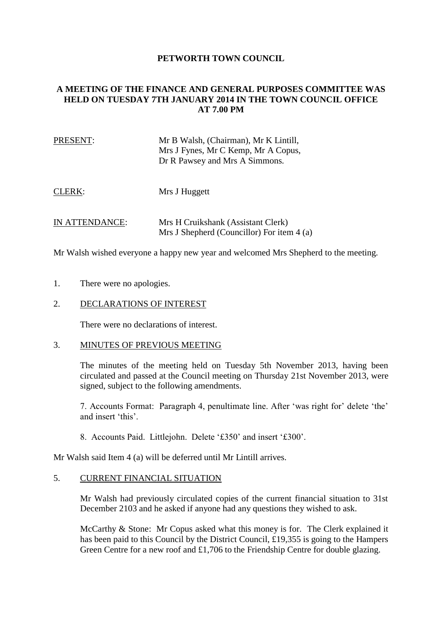# **PETWORTH TOWN COUNCIL**

# **A MEETING OF THE FINANCE AND GENERAL PURPOSES COMMITTEE WAS HELD ON TUESDAY 7TH JANUARY 2014 IN THE TOWN COUNCIL OFFICE AT 7.00 PM**

| PRESENT: | Mr B Walsh, (Chairman), Mr K Lintill, |
|----------|---------------------------------------|
|          | Mrs J Fynes, Mr C Kemp, Mr A Copus,   |
|          | Dr R Pawsey and Mrs A Simmons.        |
|          |                                       |

CLERK: Mrs J Huggett

IN ATTENDANCE: Mrs H Cruikshank (Assistant Clerk) Mrs J Shepherd (Councillor) For item 4 (a)

Mr Walsh wished everyone a happy new year and welcomed Mrs Shepherd to the meeting.

- 1. There were no apologies.
- 2. DECLARATIONS OF INTEREST

There were no declarations of interest.

## 3. MINUTES OF PREVIOUS MEETING

The minutes of the meeting held on Tuesday 5th November 2013, having been circulated and passed at the Council meeting on Thursday 21st November 2013, were signed, subject to the following amendments.

7. Accounts Format: Paragraph 4, penultimate line. After 'was right for' delete 'the' and insert 'this'.

8. Accounts Paid. Littlejohn. Delete '£350' and insert '£300'.

Mr Walsh said Item 4 (a) will be deferred until Mr Lintill arrives.

## 5. CURRENT FINANCIAL SITUATION

Mr Walsh had previously circulated copies of the current financial situation to 31st December 2103 and he asked if anyone had any questions they wished to ask.

McCarthy & Stone: Mr Copus asked what this money is for. The Clerk explained it has been paid to this Council by the District Council, £19,355 is going to the Hampers Green Centre for a new roof and £1,706 to the Friendship Centre for double glazing.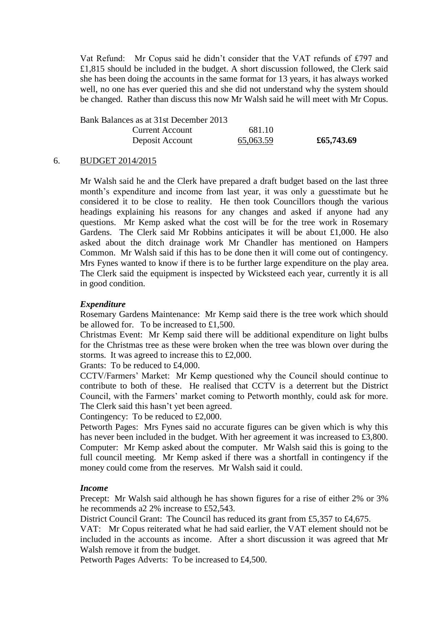Vat Refund: Mr Copus said he didn't consider that the VAT refunds of £797 and £1,815 should be included in the budget. A short discussion followed, the Clerk said she has been doing the accounts in the same format for 13 years, it has always worked well, no one has ever queried this and she did not understand why the system should be changed. Rather than discuss this now Mr Walsh said he will meet with Mr Copus.

Bank Balances as at 31st December 2013 Current Account 681.10 Deposit Account 65,063.59 **£65,743.69**

#### 6. BUDGET 2014/2015

Mr Walsh said he and the Clerk have prepared a draft budget based on the last three month's expenditure and income from last year, it was only a guesstimate but he considered it to be close to reality. He then took Councillors though the various headings explaining his reasons for any changes and asked if anyone had any questions. Mr Kemp asked what the cost will be for the tree work in Rosemary Gardens. The Clerk said Mr Robbins anticipates it will be about £1,000. He also asked about the ditch drainage work Mr Chandler has mentioned on Hampers Common. Mr Walsh said if this has to be done then it will come out of contingency. Mrs Fynes wanted to know if there is to be further large expenditure on the play area. The Clerk said the equipment is inspected by Wicksteed each year, currently it is all in good condition.

#### *Expenditure*

Rosemary Gardens Maintenance: Mr Kemp said there is the tree work which should be allowed for. To be increased to £1,500.

Christmas Event: Mr Kemp said there will be additional expenditure on light bulbs for the Christmas tree as these were broken when the tree was blown over during the storms. It was agreed to increase this to £2,000.

Grants: To be reduced to £4,000.

CCTV/Farmers' Market: Mr Kemp questioned why the Council should continue to contribute to both of these. He realised that CCTV is a deterrent but the District Council, with the Farmers' market coming to Petworth monthly, could ask for more. The Clerk said this hasn't yet been agreed.

Contingency: To be reduced to £2,000.

Petworth Pages: Mrs Fynes said no accurate figures can be given which is why this has never been included in the budget. With her agreement it was increased to £3,800. Computer: Mr Kemp asked about the computer. Mr Walsh said this is going to the full council meeting. Mr Kemp asked if there was a shortfall in contingency if the money could come from the reserves. Mr Walsh said it could.

#### *Income*

Precept: Mr Walsh said although he has shown figures for a rise of either 2% or 3% he recommends a2 2% increase to £52,543.

District Council Grant: The Council has reduced its grant from £5,357 to £4,675.

VAT: Mr Copus reiterated what he had said earlier, the VAT element should not be included in the accounts as income. After a short discussion it was agreed that Mr Walsh remove it from the budget.

Petworth Pages Adverts: To be increased to £4,500.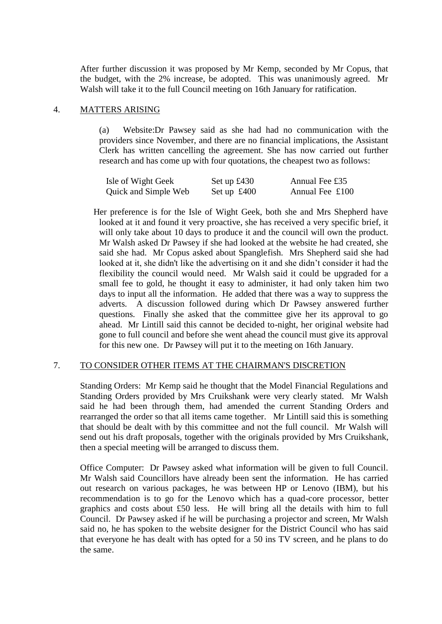After further discussion it was proposed by Mr Kemp, seconded by Mr Copus, that the budget, with the 2% increase, be adopted. This was unanimously agreed. Mr Walsh will take it to the full Council meeting on 16th January for ratification.

## 4. MATTERS ARISING

(a) Website:Dr Pawsey said as she had had no communication with the providers since November, and there are no financial implications, the Assistant Clerk has written cancelling the agreement. She has now carried out further research and has come up with four quotations, the cheapest two as follows:

| Isle of Wight Geek   | Set up $\pounds430$  | Annual Fee £35    |
|----------------------|----------------------|-------------------|
| Quick and Simple Web | Set up $\pounds 400$ | Annual Fee $£100$ |

 Her preference is for the Isle of Wight Geek, both she and Mrs Shepherd have looked at it and found it very proactive, she has received a very specific brief, it will only take about 10 days to produce it and the council will own the product. Mr Walsh asked Dr Pawsey if she had looked at the website he had created, she said she had. Mr Copus asked about Spanglefish. Mrs Shepherd said she had looked at it, she didn't like the advertising on it and she didn't consider it had the flexibility the council would need. Mr Walsh said it could be upgraded for a small fee to gold, he thought it easy to administer, it had only taken him two days to input all the information. He added that there was a way to suppress the adverts. A discussion followed during which Dr Pawsey answered further questions. Finally she asked that the committee give her its approval to go ahead. Mr Lintill said this cannot be decided to-night, her original website had gone to full council and before she went ahead the council must give its approval for this new one. Dr Pawsey will put it to the meeting on 16th January.

# 7. TO CONSIDER OTHER ITEMS AT THE CHAIRMAN'S DISCRETION

Standing Orders: Mr Kemp said he thought that the Model Financial Regulations and Standing Orders provided by Mrs Cruikshank were very clearly stated. Mr Walsh said he had been through them, had amended the current Standing Orders and rearranged the order so that all items came together. Mr Lintill said this is something that should be dealt with by this committee and not the full council. Mr Walsh will send out his draft proposals, together with the originals provided by Mrs Cruikshank, then a special meeting will be arranged to discuss them.

Office Computer: Dr Pawsey asked what information will be given to full Council. Mr Walsh said Councillors have already been sent the information. He has carried out research on various packages, he was between HP or Lenovo (IBM), but his recommendation is to go for the Lenovo which has a quad-core processor, better graphics and costs about £50 less. He will bring all the details with him to full Council. Dr Pawsey asked if he will be purchasing a projector and screen, Mr Walsh said no, he has spoken to the website designer for the District Council who has said that everyone he has dealt with has opted for a 50 ins TV screen, and he plans to do the same.